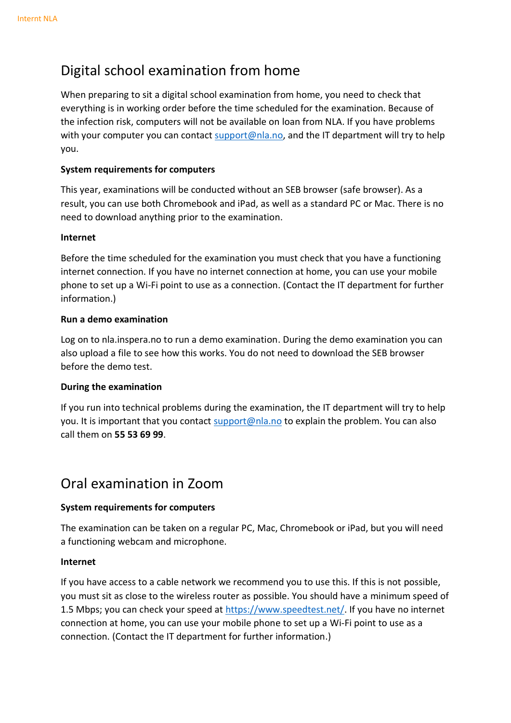# Digital school examination from home

When preparing to sit a digital school examination from home, you need to check that everything is in working order before the time scheduled for the examination. Because of the infection risk, computers will not be available on loan from NLA. If you have problems with your computer you can contact [support@nla.no,](mailto:support@nla.no) and the IT department will try to help you.

## **System requirements for computers**

This year, examinations will be conducted without an SEB browser (safe browser). As a result, you can use both Chromebook and iPad, as well as a standard PC or Mac. There is no need to download anything prior to the examination.

### **Internet**

Before the time scheduled for the examination you must check that you have a functioning internet connection. If you have no internet connection at home, you can use your mobile phone to set up a Wi-Fi point to use as a connection. (Contact the IT department for further information.)

## **Run a demo examination**

Log on to nla.inspera.no to run a demo examination. During the demo examination you can also upload a file to see how this works. You do not need to download the SEB browser before the demo test.

## **During the examination**

If you run into technical problems during the examination, the IT department will try to help you. It is important that you contact [support@nla.no](mailto:support@nla.no) to explain the problem. You can also call them on **55 53 69 99**.

## Oral examination in Zoom

## **System requirements for computers**

The examination can be taken on a regular PC, Mac, Chromebook or iPad, but you will need a functioning webcam and microphone.

### **Internet**

If you have access to a cable network we recommend you to use this. If this is not possible, you must sit as close to the wireless router as possible. You should have a minimum speed of 1.5 Mbps; you can check your speed at [https://www.speedtest.net/.](https://www.speedtest.net/) If you have no internet connection at home, you can use your mobile phone to set up a Wi-Fi point to use as a connection. (Contact the IT department for further information.)